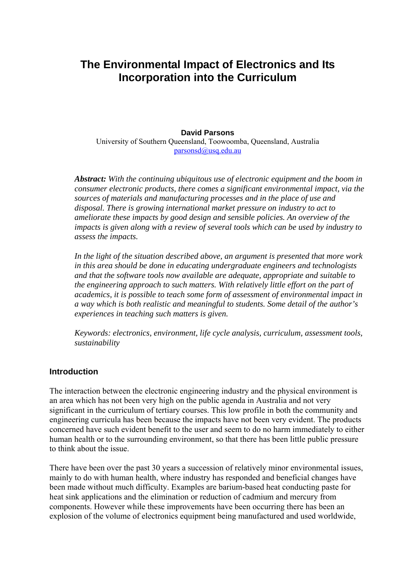# **The Environmental Impact of Electronics and Its Incorporation into the Curriculum**

### **David Parsons**

University of Southern Queensland, Toowoomba, Queensland, Australia [parsonsd@usq.edu.au](mailto:parsonsd@usq.edu.au)

*Abstract: With the continuing ubiquitous use of electronic equipment and the boom in consumer electronic products, there comes a significant environmental impact, via the sources of materials and manufacturing processes and in the place of use and disposal. There is growing international market pressure on industry to act to ameliorate these impacts by good design and sensible policies. An overview of the impacts is given along with a review of several tools which can be used by industry to assess the impacts.* 

*In the light of the situation described above, an argument is presented that more work in this area should be done in educating undergraduate engineers and technologists and that the software tools now available are adequate, appropriate and suitable to the engineering approach to such matters. With relatively little effort on the part of academics, it is possible to teach some form of assessment of environmental impact in a way which is both realistic and meaningful to students. Some detail of the author's experiences in teaching such matters is given.* 

*Keywords: electronics, environment, life cycle analysis, curriculum, assessment tools, sustainability* 

#### **Introduction**

The interaction between the electronic engineering industry and the physical environment is an area which has not been very high on the public agenda in Australia and not very significant in the curriculum of tertiary courses. This low profile in both the community and engineering curricula has been because the impacts have not been very evident. The products concerned have such evident benefit to the user and seem to do no harm immediately to either human health or to the surrounding environment, so that there has been little public pressure to think about the issue.

There have been over the past 30 years a succession of relatively minor environmental issues, mainly to do with human health, where industry has responded and beneficial changes have been made without much difficulty. Examples are barium-based heat conducting paste for heat sink applications and the elimination or reduction of cadmium and mercury from components. However while these improvements have been occurring there has been an explosion of the volume of electronics equipment being manufactured and used worldwide,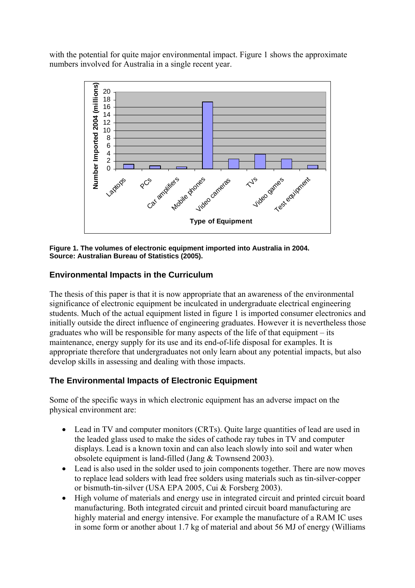with the potential for quite major environmental impact. Figure 1 shows the approximate numbers involved for Australia in a single recent year.



**Figure 1. The volumes of electronic equipment imported into Australia in 2004. Source: Australian Bureau of Statistics (2005).** 

## **Environmental Impacts in the Curriculum**

The thesis of this paper is that it is now appropriate that an awareness of the environmental significance of electronic equipment be inculcated in undergraduate electrical engineering students. Much of the actual equipment listed in figure 1 is imported consumer electronics and initially outside the direct influence of engineering graduates. However it is nevertheless those graduates who will be responsible for many aspects of the life of that equipment – its maintenance, energy supply for its use and its end-of-life disposal for examples. It is appropriate therefore that undergraduates not only learn about any potential impacts, but also develop skills in assessing and dealing with those impacts.

## **The Environmental Impacts of Electronic Equipment**

Some of the specific ways in which electronic equipment has an adverse impact on the physical environment are:

- Lead in TV and computer monitors (CRTs). Quite large quantities of lead are used in the leaded glass used to make the sides of cathode ray tubes in TV and computer displays. Lead is a known toxin and can also leach slowly into soil and water when obsolete equipment is land-filled (Jang & Townsend 2003).
- Lead is also used in the solder used to join components together. There are now moves to replace lead solders with lead free solders using materials such as tin-silver-copper or bismuth-tin-silver (USA EPA 2005, Cui & Forsberg 2003).
- High volume of materials and energy use in integrated circuit and printed circuit board manufacturing. Both integrated circuit and printed circuit board manufacturing are highly material and energy intensive. For example the manufacture of a RAM IC uses in some form or another about 1.7 kg of material and about 56 MJ of energy (Williams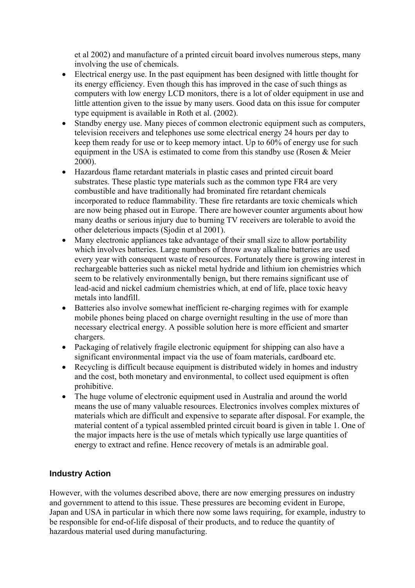et al 2002) and manufacture of a printed circuit board involves numerous steps, many involving the use of chemicals.

- Electrical energy use. In the past equipment has been designed with little thought for its energy efficiency. Even though this has improved in the case of such things as computers with low energy LCD monitors, there is a lot of older equipment in use and little attention given to the issue by many users. Good data on this issue for computer type equipment is available in Roth et al. (2002).
- Standby energy use. Many pieces of common electronic equipment such as computers, television receivers and telephones use some electrical energy 24 hours per day to keep them ready for use or to keep memory intact. Up to 60% of energy use for such equipment in the USA is estimated to come from this standby use (Rosen & Meier 2000).
- Hazardous flame retardant materials in plastic cases and printed circuit board substrates. These plastic type materials such as the common type FR4 are very combustible and have traditionally had brominated fire retardant chemicals incorporated to reduce flammability. These fire retardants are toxic chemicals which are now being phased out in Europe. There are however counter arguments about how many deaths or serious injury due to burning TV receivers are tolerable to avoid the other deleterious impacts (Sjodin et al 2001).
- Many electronic appliances take advantage of their small size to allow portability which involves batteries. Large numbers of throw away alkaline batteries are used every year with consequent waste of resources. Fortunately there is growing interest in rechargeable batteries such as nickel metal hydride and lithium ion chemistries which seem to be relatively environmentally benign, but there remains significant use of lead-acid and nickel cadmium chemistries which, at end of life, place toxic heavy metals into landfill.
- Batteries also involve somewhat inefficient re-charging regimes with for example mobile phones being placed on charge overnight resulting in the use of more than necessary electrical energy. A possible solution here is more efficient and smarter chargers.
- Packaging of relatively fragile electronic equipment for shipping can also have a significant environmental impact via the use of foam materials, cardboard etc.
- Recycling is difficult because equipment is distributed widely in homes and industry and the cost, both monetary and environmental, to collect used equipment is often prohibitive.
- The huge volume of electronic equipment used in Australia and around the world means the use of many valuable resources. Electronics involves complex mixtures of materials which are difficult and expensive to separate after disposal. For example, the material content of a typical assembled printed circuit board is given in table 1. One of the major impacts here is the use of metals which typically use large quantities of energy to extract and refine. Hence recovery of metals is an admirable goal.

## **Industry Action**

However, with the volumes described above, there are now emerging pressures on industry and government to attend to this issue. These pressures are becoming evident in Europe, Japan and USA in particular in which there now some laws requiring, for example, industry to be responsible for end-of-life disposal of their products, and to reduce the quantity of hazardous material used during manufacturing.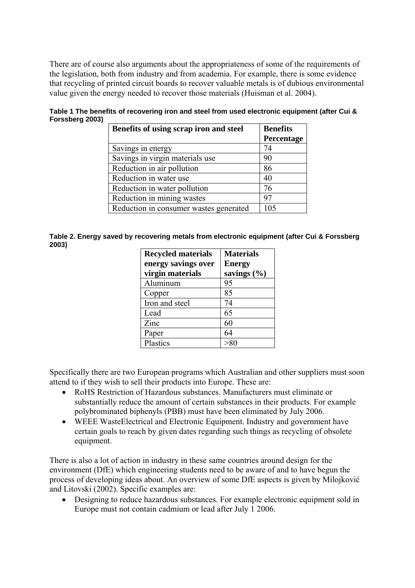There are of course also arguments about the appropriateness of some of the requirements of the legislation, both from industry and from academia. For example, there is some evidence that recycling of printed circuit boards to recover valuable metals is of dubious environmental value given the energy needed to recover those materials (Huisman et al. 2004).

| Benefits of using scrap iron and steel | <b>Benefits</b><br>Percentage |
|----------------------------------------|-------------------------------|
| Savings in energy                      | 74                            |
| Savings in virgin materials use        | 90                            |
| Reduction in air pollution             | 86                            |
| Reduction in water use                 | 40                            |
| Reduction in water pollution           | 76                            |
| Reduction in mining wastes             | 97                            |
| Reduction in consumer wastes generated | 105                           |

**Table 1 The benefits of recovering iron and steel from used electronic equipment (after Cui & Forssberg 2003)** 

| Table 2. Energy saved by recovering metals from electronic equipment (after Cui & Forssberg |  |  |
|---------------------------------------------------------------------------------------------|--|--|
| 2003)                                                                                       |  |  |

| <b>Recycled materials</b> | <b>Materials</b> |
|---------------------------|------------------|
| energy savings over       | <b>Energy</b>    |
| virgin materials          | savings (%)      |
| Aluminum                  | 95               |
| Copper                    | 85               |
| Iron and steel            | 74               |
| Lead                      | 65               |
| Zinc                      | 60               |
| Paper                     | 64               |
| Plastics                  |                  |

Specifically there are two European programs which Australian and other suppliers must soon attend to if they wish to sell their products into Europe. These are:

- RoHS Restriction of Hazardous substances. Manufacturers must eliminate or substantially reduce the amount of certain substances in their products. For example polybrominated biphenyls (PBB) must have been eliminated by July 2006.
- WEEE WasteElectrical and Electronic Equipment. Industry and government have certain goals to reach by given dates regarding such things as recycling of obsolete equipment.

There is also a lot of action in industry in these same countries around design for the environment (DfE) which engineering students need to be aware of and to have begun the process of developing ideas about. An overview of some DfE aspects is given by Milojković and Litovski (2002). Specific examples are:

• Designing to reduce hazardous substances. For example electronic equipment sold in Europe must not contain cadmium or lead after July 1 2006.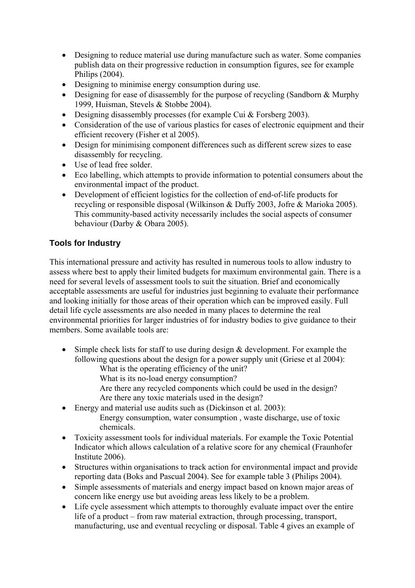- Designing to reduce material use during manufacture such as water. Some companies publish data on their progressive reduction in consumption figures, see for example Philips (2004).
- Designing to minimise energy consumption during use.
- Designing for ease of disassembly for the purpose of recycling (Sandborn & Murphy 1999, Huisman, Stevels & Stobbe 2004).
- Designing disassembly processes (for example Cui & Forsberg 2003).
- Consideration of the use of various plastics for cases of electronic equipment and their efficient recovery (Fisher et al 2005).
- Design for minimising component differences such as different screw sizes to ease disassembly for recycling.
- Use of lead free solder.
- Eco labelling, which attempts to provide information to potential consumers about the environmental impact of the product.
- Development of efficient logistics for the collection of end-of-life products for recycling or responsible disposal (Wilkinson & Duffy 2003, Jofre & Marioka 2005). This community-based activity necessarily includes the social aspects of consumer behaviour (Darby & Obara 2005).

# **Tools for Industry**

This international pressure and activity has resulted in numerous tools to allow industry to assess where best to apply their limited budgets for maximum environmental gain. There is a need for several levels of assessment tools to suit the situation. Brief and economically acceptable assessments are useful for industries just beginning to evaluate their performance and looking initially for those areas of their operation which can be improved easily. Full detail life cycle assessments are also needed in many places to determine the real environmental priorities for larger industries of for industry bodies to give guidance to their members. Some available tools are:

- Simple check lists for staff to use during design & development. For example the following questions about the design for a power supply unit (Griese et al 2004):
	- What is the operating efficiency of the unit?
	- What is its no-load energy consumption?
	- Are there any recycled components which could be used in the design? Are there any toxic materials used in the design?
- Energy and material use audits such as (Dickinson et al. 2003): Energy consumption, water consumption , waste discharge, use of toxic chemicals.
- Toxicity assessment tools for individual materials. For example the Toxic Potential Indicator which allows calculation of a relative score for any chemical (Fraunhofer Institute 2006).
- Structures within organisations to track action for environmental impact and provide reporting data (Boks and Pascual 2004). See for example table 3 (Philips 2004).
- Simple assessments of materials and energy impact based on known major areas of concern like energy use but avoiding areas less likely to be a problem.
- Life cycle assessment which attempts to thoroughly evaluate impact over the entire life of a product – from raw material extraction, through processing, transport, manufacturing, use and eventual recycling or disposal. Table 4 gives an example of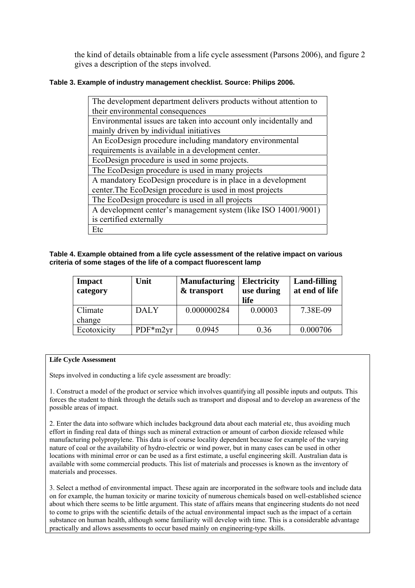the kind of details obtainable from a life cycle assessment (Parsons 2006), and figure 2 gives a description of the steps involved.

#### **Table 3. Example of industry management checklist. Source: Philips 2006.**

| The development department delivers products without attention to |  |  |  |  |
|-------------------------------------------------------------------|--|--|--|--|
| their environmental consequences                                  |  |  |  |  |
| Environmental issues are taken into account only incidentally and |  |  |  |  |
| mainly driven by individual initiatives                           |  |  |  |  |
| An EcoDesign procedure including mandatory environmental          |  |  |  |  |
| requirements is available in a development center.                |  |  |  |  |
| EcoDesign procedure is used in some projects.                     |  |  |  |  |
| The EcoDesign procedure is used in many projects                  |  |  |  |  |
| A mandatory EcoDesign procedure is in place in a development      |  |  |  |  |
| center. The EcoDesign procedure is used in most projects          |  |  |  |  |
| The EcoDesign procedure is used in all projects                   |  |  |  |  |
| A development center's management system (like ISO 14001/9001)    |  |  |  |  |
| is certified externally                                           |  |  |  |  |
| Etc                                                               |  |  |  |  |

**Table 4. Example obtained from a life cycle assessment of the relative impact on various criteria of some stages of the life of a compact fluorescent lamp** 

| <b>Impact</b><br>category | Unit        | <b>Manufacturing</b><br>& transport | <b>Electricity</b><br>use during<br>life | <b>Land-filling</b><br>at end of life |
|---------------------------|-------------|-------------------------------------|------------------------------------------|---------------------------------------|
| Climate<br>change         | <b>DALY</b> | 0.000000284                         | 0.00003                                  | 7.38E-09                              |
| Ecotoxicity               | $PDF*m2yr$  | 0.0945                              | 0.36                                     | 0.000706                              |

#### **Life Cycle Assessment**

Steps involved in conducting a life cycle assessment are broadly:

1. Construct a model of the product or service which involves quantifying all possible inputs and outputs. This forces the student to think through the details such as transport and disposal and to develop an awareness of the possible areas of impact.

2. Enter the data into software which includes background data about each material etc, thus avoiding much effort in finding real data of things such as mineral extraction or amount of carbon dioxide released while manufacturing polypropylene. This data is of course locality dependent because for example of the varying nature of coal or the availability of hydro-electric or wind power, but in many cases can be used in other locations with minimal error or can be used as a first estimate, a useful engineering skill. Australian data is available with some commercial products. This list of materials and processes is known as the inventory of materials and processes.

3. Select a method of environmental impact. These again are incorporated in the software tools and include data on for example, the human toxicity or marine toxicity of numerous chemicals based on well-established science about which there seems to be little argument. This state of affairs means that engineering students do not need to come to grips with the scientific details of the actual environmental impact such as the impact of a certain substance on human health, although some familiarity will develop with time. This is a considerable advantage practically and allows assessments to occur based mainly on engineering-type skills.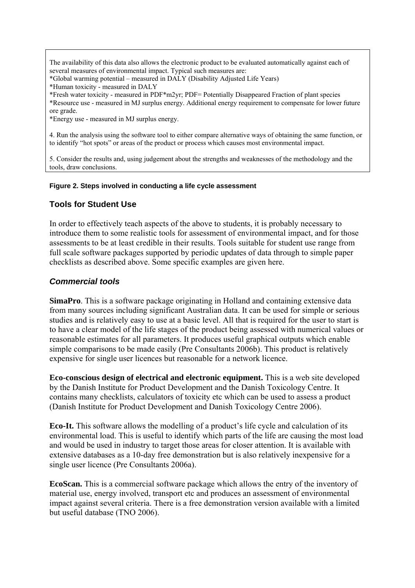The availability of this data also allows the electronic product to be evaluated automatically against each of several measures of environmental impact. Typical such measures are:

\*Global warming potential – measured in DALY (Disability Adjusted Life Years)

\*Human toxicity - measured in DALY

\*Fresh water toxicity - measured in PDF\*m2yr; PDF= Potentially Disappeared Fraction of plant species \*Resource use - measured in MJ surplus energy. Additional energy requirement to compensate for lower future ore grade.

\*Energy use - measured in MJ surplus energy.

4. Run the analysis using the software tool to either compare alternative ways of obtaining the same function, or to identify "hot spots" or areas of the product or process which causes most environmental impact.

5. Consider the results and, using judgement about the strengths and weaknesses of the methodology and the tools, draw conclusions.

#### **Figure 2. Steps involved in conducting a life cycle assessment**

### **Tools for Student Use**

In order to effectively teach aspects of the above to students, it is probably necessary to introduce them to some realistic tools for assessment of environmental impact, and for those assessments to be at least credible in their results. Tools suitable for student use range from full scale software packages supported by periodic updates of data through to simple paper checklists as described above. Some specific examples are given here.

### *Commercial tools*

**SimaPro**. This is a software package originating in Holland and containing extensive data from many sources including significant Australian data. It can be used for simple or serious studies and is relatively easy to use at a basic level. All that is required for the user to start is to have a clear model of the life stages of the product being assessed with numerical values or reasonable estimates for all parameters. It produces useful graphical outputs which enable simple comparisons to be made easily (Pre Consultants 2006b). This product is relatively expensive for single user licences but reasonable for a network licence.

**Eco-conscious design of electrical and electronic equipment.** This is a web site developed by the Danish [Institute for Product Development a](http://www.ipu.dk/)nd the [Danish Toxicology Centre](http://www.dtc.dk/). It contains many checklists, calculators of toxicity etc which can be used to assess a product (Danish Institute for Product Development and Danish Toxicology Centre 2006).

**Eco-It.** This software allows the modelling of a product's life cycle and calculation of its environmental load. This is useful to identify which parts of the life are causing the most load and would be used in industry to target those areas for closer attention. It is available with extensive databases as a 10-day free demonstration but is also relatively inexpensive for a single user licence (Pre Consultants 2006a).

**EcoScan.** This is a commercial software package which allows the entry of the inventory of material use, energy involved, transport etc and produces an assessment of environmental impact against several criteria. There is a free demonstration version available with a limited but useful database (TNO 2006).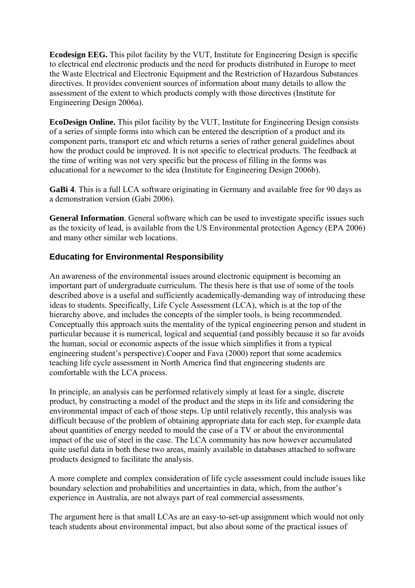**Ecodesign EEG.** This pilot facility by the VUT, Institute for Engineering Design is specific to electrical end electronic products and the need for products distributed in Europe to meet the Waste Electrical and Electronic Equipment and the Restriction of Hazardous Substances directives. It provides convenient sources of information about many details to allow the assessment of the extent to which products comply with those directives (Institute for Engineering Design 2006a).

**EcoDesign Online.** This pilot facility by the VUT, Institute for Engineering Design consists of a series of simple forms into which can be entered the description of a product and its component parts, transport etc and which returns a series of rather general guidelines about how the product could be improved. It is not specific to electrical products. The feedback at the time of writing was not very specific but the process of filling in the forms was educational for a newcomer to the idea (Institute for Engineering Design 2006b).

**GaBi 4**. This is a full LCA software originating in Germany and available free for 90 days as a demonstration version (Gabi 2006).

**General Information**. General software which can be used to investigate specific issues such as the toxicity of lead, is available from the US Environmental protection Agency (EPA 2006) and many other similar web locations.

## **Educating for Environmental Responsibility**

An awareness of the environmental issues around electronic equipment is becoming an important part of undergraduate curriculum. The thesis here is that use of some of the tools described above is a useful and sufficiently academically-demanding way of introducing these ideas to students. Specifically, Life Cycle Assessment (LCA), which is at the top of the hierarchy above, and includes the concepts of the simpler tools, is being recommended. Conceptually this approach suits the mentality of the typical engineering person and student in particular because it is numerical, logical and sequential (and possibly because it so far avoids the human, social or economic aspects of the issue which simplifies it from a typical engineering student's perspective).Cooper and Fava (2000) report that some academics teaching life cycle assessment in North America find that engineering students are comfortable with the LCA process.

In principle, an analysis can be performed relatively simply at least for a single, discrete product, by constructing a model of the product and the steps in its life and considering the environmental impact of each of those steps. Up until relatively recently, this analysis was difficult because of the problem of obtaining appropriate data for each step, for example data about quantities of energy needed to mould the case of a TV or about the environmental impact of the use of steel in the case. The LCA community has now however accumulated quite useful data in both these two areas, mainly available in databases attached to software products designed to facilitate the analysis.

A more complete and complex consideration of life cycle assessment could include issues like boundary selection and probabilities and uncertainties in data, which, from the author's experience in Australia, are not always part of real commercial assessments.

The argument here is that small LCAs are an easy-to-set-up assignment which would not only teach students about environmental impact, but also about some of the practical issues of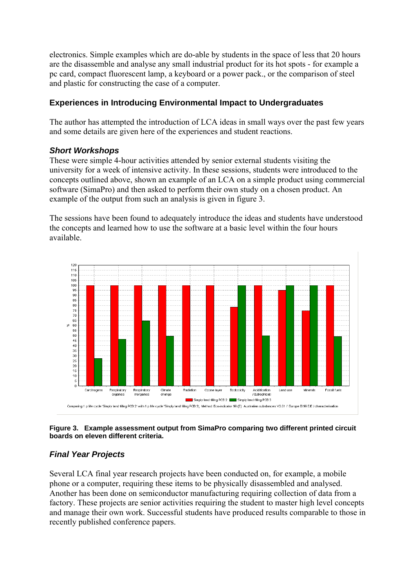electronics. Simple examples which are do-able by students in the space of less that 20 hours are the disassemble and analyse any small industrial product for its hot spots - for example a pc card, compact fluorescent lamp, a keyboard or a power pack., or the comparison of steel and plastic for constructing the case of a computer.

# **Experiences in Introducing Environmental Impact to Undergraduates**

The author has attempted the introduction of LCA ideas in small ways over the past few years and some details are given here of the experiences and student reactions.

## *Short Workshops*

These were simple 4-hour activities attended by senior external students visiting the university for a week of intensive activity. In these sessions, students were introduced to the concepts outlined above, shown an example of an LCA on a simple product using commercial software (SimaPro) and then asked to perform their own study on a chosen product. An example of the output from such an analysis is given in figure 3.

The sessions have been found to adequately introduce the ideas and students have understood the concepts and learned how to use the software at a basic level within the four hours available.



#### **Figure 3. Example assessment output from SimaPro comparing two different printed circuit boards on eleven different criteria.**

# *Final Year Projects*

Several LCA final year research projects have been conducted on, for example, a mobile phone or a computer, requiring these items to be physically disassembled and analysed. Another has been done on semiconductor manufacturing requiring collection of data from a factory. These projects are senior activities requiring the student to master high level concepts and manage their own work. Successful students have produced results comparable to those in recently published conference papers.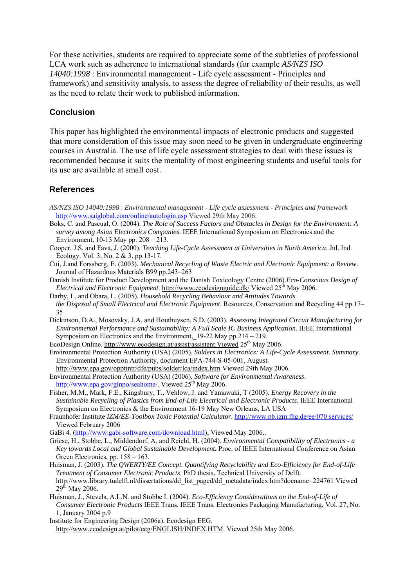For these activities, students are required to appreciate some of the subtleties of professional LCA work such as adherence to international standards (for example *AS/NZS ISO 14040:1998* : Environmental management - Life cycle assessment - Principles and framework) and sensitivity analysis, to assess the degree of reliability of their results, as well as the need to relate their work to published information.

### **Conclusion**

This paper has highlighted the environmental impacts of electronic products and suggested that more consideration of this issue may soon need to be given in undergraduate engineering courses in Australia. The use of life cycle assessment strategies to deal with these issues is recommended because it suits the mentality of most engineering students and useful tools for its use are available at small cost.

### **References**

- *AS/NZS ISO 14040:1998* : *Environmental management Life cycle assessment Principles and framework* <http://www.saiglobal.com/online/autologin.asp> Viewed 29th May 2006.
- Boks, C. and Pascual, O. (2004). *The Role of Success Factors and Obstacles in Design for the Environment: A survey among Asian Electronics Companies*. IEEE International Symposium on [Electronics and the](http://ieeexplore.ieee.org/xpl/RecentCon.jsp?punumber=9100)  [Environment, 1](http://ieeexplore.ieee.org/xpl/RecentCon.jsp?punumber=9100)0-13 May pp. 208 – 213.
- Cooper, J.S. and Fava, J. (2000). *Teaching Life-Cycle Assessment at Universities in North America*. Jnl. Ind. Ecology. Vol. 3, No. 2 & 3, pp.13-17.
- Cui, J.and Forssberg, E. (2003). *Mechanical Recycling of Waste Electric and Electronic Equipment: a Review*. Journal of Hazardous Materials B99 pp.243–263
- [Danish Institute for Product Development](http://www.ipu.dk/) and the [Danish Toxicology Centr](http://www.dtc.dk/)e (2006).*Eco-Conscious Design of Electrical and Electronic Equipment*.<http://www.ecodesignguide.dk/>Viewed 25th May 2006.
- Darby, L. and Obara, L. (2005). *Household Recycling Behaviour and Attitudes Towards the Disposal of Small Electrical and Electronic Equipment*. Resources, Conservation and Recycling 44 pp.17– 35
- Dickinson, D.A., Mosovsky, J.A. and Houthuysen, S.D. (2003). *Assessing Integrated Circuit Manufacturing for Environmental Performance and Sustainability: A Full Scale IC Business Application*. IEEE International Symposium on [Electronics and the Environment, 1](http://ieeexplore.ieee.org/xpl/RecentCon.jsp?punumber=8575)9-22 May pp.214 – 219.
- EcoDesign Online. http://www.ecodesign.at/assist/assistent. Viewed 25<sup>th</sup> May 2006.
- Environmental Protection Authority (USA) (2005), *Solders in Electronics: A Life-Cycle Assessment. Summary*. Environmental Protection Authority, document EPA-744-S-05-001, August.
- <http://www.epa.gov/opptintr/dfe/pubs/solder/lca/index.htm> Viewed 29th May 2006. Environmental Protection Authority (USA) (2006), *Software for Environmental Awareness*. [http://www.epa.gov/glnpo/seahome/.](http://www.epa.gov/glnpo/seahome/) Viewed 25<sup>th</sup> May 2006.
- Fisher, M.M., Mark, F.E., Kingsbury, T., Vehlow, J. and Yamawaki, T (2005). *Energy Recovery in the Sustainable Recycling of Plastics from End-of-Life Electrical and Electronic Products*. IEEE International Symposium on Electronics & the Environment 16-19 May New Orleans, LA USA
- Fraunhofer Institute *IZM/EE-Toolbox Toxic Potential Calculator*. [http://www.pb.izm.fhg.de/ee/070 services/](http://www.pb.izm.fhg.de/ee/070%20services/) Viewed February 2006
- GaBi 4. ([http://www.gabi-software.com/download.html\)](http://www.gabi-software.com/download.html), Viewed May 2006..
- Griese, H., Stobbe, L., Middendorf, A. and Reichl, H. (2004). *Environmental Compatibility of Electronics a Key towards Local and Global Sustainable Development***.** Proc. of IEEE International Conference on Asian Green Electronics, pp. 158 – 163.
- Huisman, J. (2003). *The QWERTY/EE Concept. Quantifying Recyclability and Eco-Efficiency for End-of-Life Treatment of Consumer Electronic Products*. PhD thesis, Technical University of Delft. [http://www.library.tudelft.nl/dissertations/dd\\_list\\_paged/dd\\_metadata/index.htm?docname=224761](http://www.library.tudelft.nl/dissertations/dd_list_paged/dd_metadata/index.htm?docname=224761) Viewed  $29^{th}$  May 2006.
- Huisman, J., Stevels, A.L.N. and Stobbe I. (2004). *Eco-Efficiency Considerations on the End-of-Life of Consumer Electronic Products* IEEE Trans. IEEE Trans. Electronics Packaging Manufacturing, Vol. 27, No. 1, January 2004 p.9
- Institute for Engineering Design (2006a). Ecodesign EEG. [http://www.ecodesign.at/pilot/eeg/ENGLISH/INDEX.HTM.](http://www.ecodesign.at/pilot/eeg/ENGLISH/INDEX.HTM) Viewed 25th May 2006.